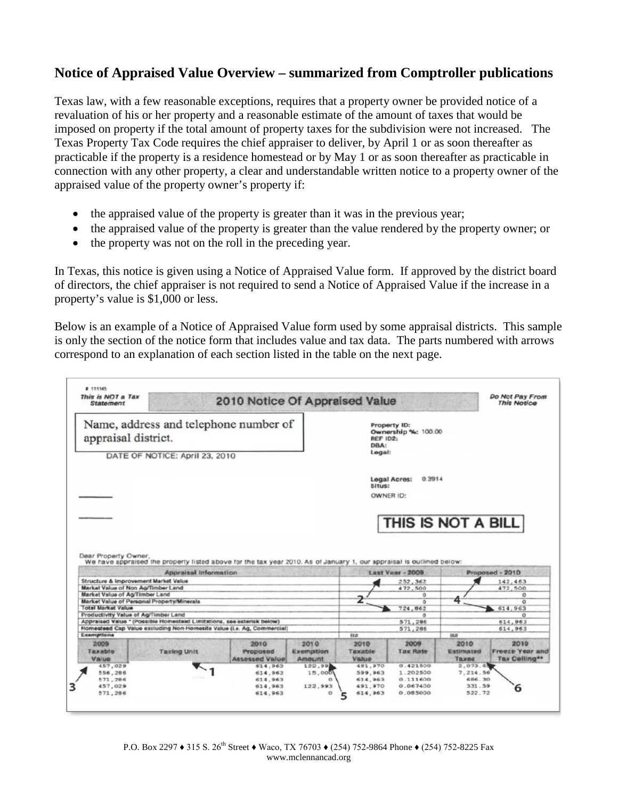## **Notice of Appraised Value Overview – summarized from Comptroller publications**

Texas law, with a few reasonable exceptions, requires that a property owner be provided notice of a revaluation of his or her property and a reasonable estimate of the amount of taxes that would be imposed on property if the total amount of property taxes for the subdivision were not increased. The Texas Property Tax Code requires the chief appraiser to deliver, by April 1 or as soon thereafter as practicable if the property is a residence homestead or by May 1 or as soon thereafter as practicable in connection with any other property, a clear and understandable written notice to a property owner of the appraised value of the property owner's property if:

- the appraised value of the property is greater than it was in the previous year;
- the appraised value of the property is greater than the value rendered by the property owner; or
- the property was not on the roll in the preceding year.

In Texas, this notice is given using a Notice of Appraised Value form. If approved by the district board of directors, the chief appraiser is not required to send a Notice of Appraised Value if the increase in a property's value is \$1,000 or less.

Below is an example of a Notice of Appraised Value form used by some appraisal districts. This sample is only the section of the notice form that includes value and tax data. The parts numbered with arrows correspond to an explanation of each section listed in the table on the next page.

| # 111145<br>This is NOT a Tax<br><b>Statement</b>                                              |                                                                                                                                               | 2010 Notice Of Appraised Value            |                             |                                                                   |                         |                                   | Do Not Pay From<br><b>This Notice</b> |
|------------------------------------------------------------------------------------------------|-----------------------------------------------------------------------------------------------------------------------------------------------|-------------------------------------------|-----------------------------|-------------------------------------------------------------------|-------------------------|-----------------------------------|---------------------------------------|
| Name, address and telephone number of<br>appraisal district.<br>DATE OF NOTICE: April 23, 2010 |                                                                                                                                               |                                           |                             | Property ID:<br>Ownership %: 100.00<br>REF ID2:<br>DBA:<br>Legal: |                         |                                   |                                       |
|                                                                                                |                                                                                                                                               |                                           |                             | Situs:<br>OWNER ID:                                               | 0.3914<br>Legal Acres:  |                                   |                                       |
|                                                                                                |                                                                                                                                               |                                           |                             |                                                                   |                         |                                   |                                       |
|                                                                                                |                                                                                                                                               |                                           |                             |                                                                   | THIS IS NOT A BILL      |                                   |                                       |
| Dear Property Owner.                                                                           | We have appraised the property listed above for the tax year 2010. As of January 1, our appraisal is outlined below:<br>Appraisal Information |                                           |                             |                                                                   | <b>Last Vear - 2009</b> |                                   | Proposed - 2010                       |
|                                                                                                | Structure & Improvement Market Value                                                                                                          |                                           |                             |                                                                   | 252,362                 |                                   | 142,463                               |
| Market Value of Non Ag/Timber Land<br>Market Value of Ag/Timber Land                           |                                                                                                                                               |                                           |                             |                                                                   | 472,500<br>ō            |                                   | 472.500<br>$\circ$                    |
|                                                                                                | Market Value of Personal Property/Minerals                                                                                                    |                                           |                             |                                                                   | $\overline{a}$          | 4                                 | $\overline{O}$                        |
| <b>Total Market Value</b>                                                                      |                                                                                                                                               |                                           |                             |                                                                   | 724.862                 |                                   | 614,963                               |
| Productivity Value of Ag/Timber Land                                                           |                                                                                                                                               |                                           |                             |                                                                   | $\alpha$                |                                   | $\circ$                               |
|                                                                                                | Appraised Value * (Possible Homestead Limitations, see asterisk below)                                                                        |                                           |                             |                                                                   | 571,286                 |                                   | 614,963                               |
| Exemptions                                                                                     | Homestead Cap Value excluding Non-Homesite Value (i.e. Ag. Commercial)                                                                        |                                           |                             | <b>H</b> <sub>B</sub>                                             | 571,286                 | 33.0                              | 614,963                               |
| 2009<br>Taxable<br>Value                                                                       | <b>Taxing Unit</b>                                                                                                                            | 2010<br>Proposed<br><b>Assessed Value</b> | 2010<br>Exemption<br>Amount | 2010<br>Taxable<br>Value                                          | 2009<br><b>Tax Rate</b> | 2010<br>Estimated<br><b>Taxes</b> | 2010<br>Tax Celling**                 |
| 457,029                                                                                        |                                                                                                                                               | 614,963                                   | 122,99                      | 491,970                                                           | 0.421500                | 2,073.6                           | <b>Freeze Year and</b>                |
| 556,286                                                                                        |                                                                                                                                               | 614,963                                   | 15,000                      | 599,963                                                           | 1.202500                | 7,214.56                          |                                       |
| 571,286<br>457,029                                                                             |                                                                                                                                               | 614,963<br>614,963                        | 122,993                     | 614,963<br>491,970                                                | 0.111600<br>0.067400    | 686,30<br>331.59                  | 6                                     |